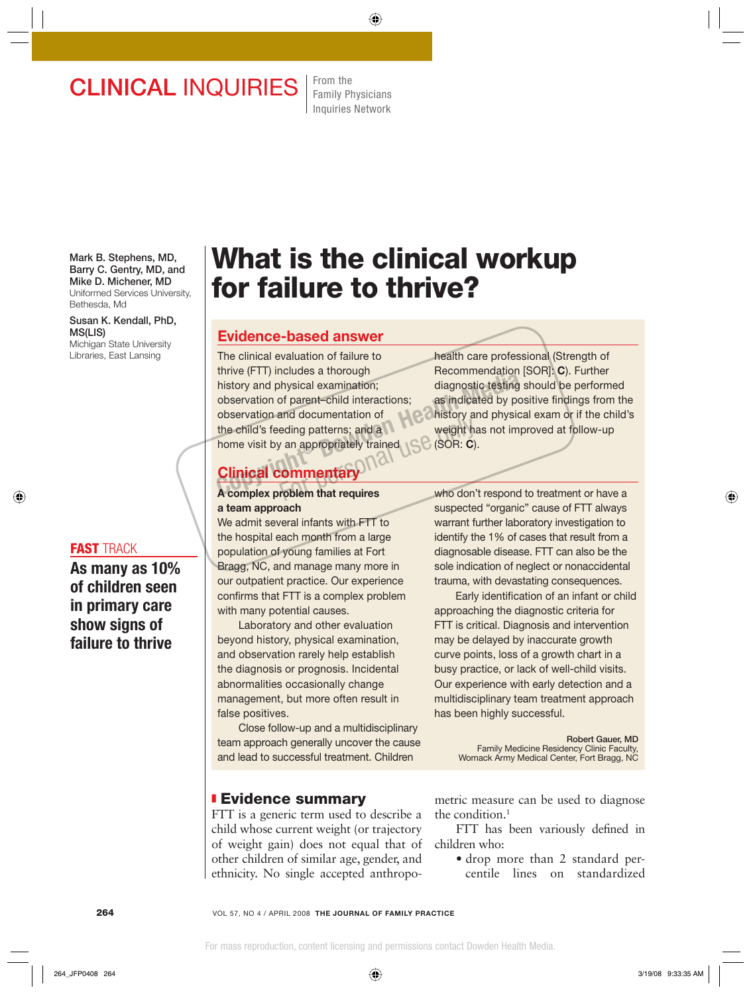## **CLINICAL INQUIRIES** From the

Family Physicians Inquiries Network

**Mark B. Stephens, MD, Barry C. Gentry, MD, and Mike D. Michener, MD**  Uniformed Services University, Bethesda, Md

**Susan K. Kendall, PhD, MS(LIS)** Michigan State University Libraries, East Lansing

#### **FAST** TRACK

**As many as 10% of children seen in primary care show signs of failure to thrive** 

# **What is the clinical workup for failure to thrive?**

## **Evidence-based answer**

The clinical evaluation of failure to thrive (FTT) includes a thorough history and physical examination; observation of parent–child interactions; observation and documentation of the child's feeding patterns; and a home visit by an appropriately trained history and physical examination;<br>
history and physical examination;<br>
observation of parent-child interactions;<br>
as indicated by pos<br>
observation and documentation of<br>
the child's feeding patterns; and a<br>
home visit by an eding patterns; and a weight has veight has a propriately trained<br>
van appropriately trained<br> **COMMERGIAN COMMERGIAN** 

health care professional (Strength of Recommendation [SOR]: **C**). Further diagnostic testing should be performed as indicated by positive findings from the history and physical exam or if the child's weight has not improved at follow-up (SOR: **C**).

## **Clinical commentary**

#### **A complex problem that requires a team approach**

We admit several infants with FTT to the hospital each month from a large population of young families at Fort Bragg, NC, and manage many more in our outpatient practice. Our experience confirms that FTT is a complex problem with many potential causes.

 Laboratory and other evaluation beyond history, physical examination, and observation rarely help establish the diagnosis or prognosis. Incidental abnormalities occasionally change management, but more often result in false positives.

 Close follow-up and a multidisciplinary team approach generally uncover the cause and lead to successful treatment. Children

### ❚ **Evidence summary**

FTT is a generic term used to describe a child whose current weight (or trajectory of weight gain) does not equal that of other children of similar age, gender, and ethnicity. No single accepted anthropowho don't respond to treatment or have a suspected "organic" cause of FTT always warrant further laboratory investigation to identify the 1% of cases that result from a diagnosable disease. FTT can also be the sole indication of neglect or nonaccidental trauma, with devastating consequences.

Early identification of an infant or child approaching the diagnostic criteria for FTT is critical. Diagnosis and intervention may be delayed by inaccurate growth curve points, loss of a growth chart in a busy practice, or lack of well-child visits. Our experience with early detection and a multidisciplinary team treatment approach has been highly successful.

> **Robert Gauer, MD** Family Medicine Residency Clinic Faculty, Womack Army Medical Center, Fort Bragg, NC

metric measure can be used to diagnose the condition.<sup>1</sup>

FTT has been variously defined in children who:

• drop more than 2 standard percentile lines on standardized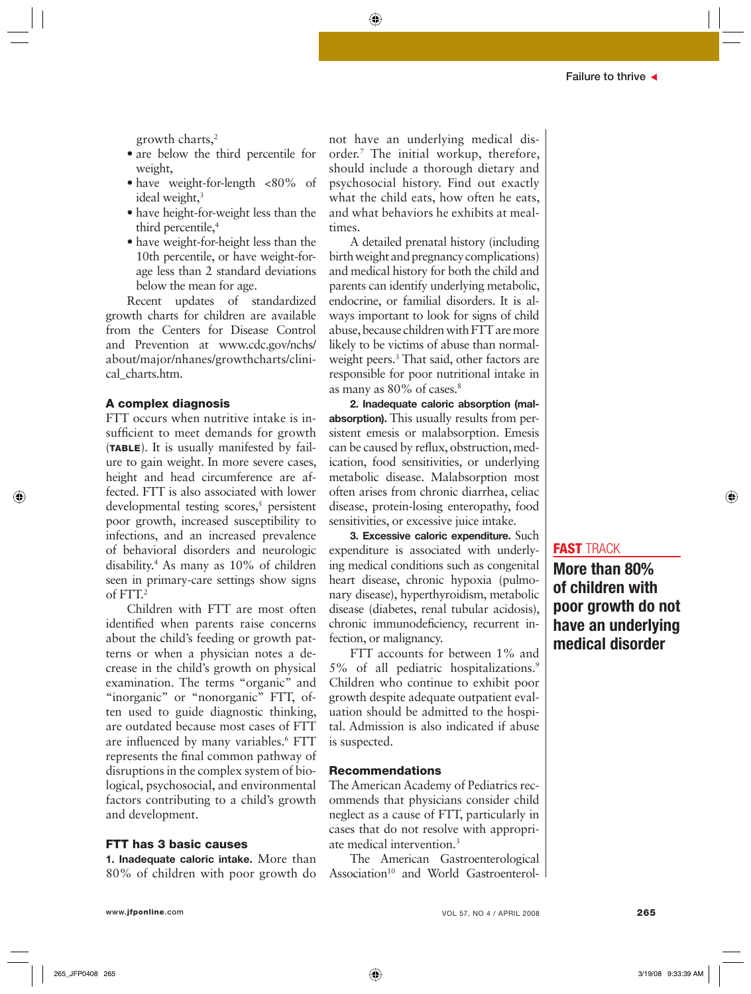growth charts,2

- are below the third percentile for weight,
- have weight-for-length <80% of ideal weight, $3$
- have height-for-weight less than the third percentile,<sup>4</sup>
- have weight-for-height less than the 10th percentile, or have weight-forage less than 2 standard deviations below the mean for age.

Recent updates of standardized growth charts for children are available from the Centers for Disease Control and Prevention at www.cdc.gov/nchs/ about/major/nhanes/growthcharts/clinical charts.htm.

#### **A complex diagnosis**

FTT occurs when nutritive intake is insufficient to meet demands for growth (**TABLE**). It is usually manifested by failure to gain weight. In more severe cases, height and head circumference are affected. FTT is also associated with lower developmental testing scores,<sup>5</sup> persistent poor growth, increased susceptibility to infections, and an increased prevalence of behavioral disorders and neurologic disability.4 As many as 10% of children seen in primary-care settings show signs of FTT.2

Children with FTT are most often identified when parents raise concerns about the child's feeding or growth patterns or when a physician notes a decrease in the child's growth on physical examination. The terms "organic" and "inorganic" or "nonorganic" FTT, often used to guide diagnostic thinking, are outdated because most cases of FTT are influenced by many variables.<sup>6</sup> FTT represents the final common pathway of disruptions in the complex system of biological, psychosocial, and environmental factors contributing to a child's growth and development.

#### **FTT has 3 basic causes**

**1. Inadequate caloric intake.** More than 80% of children with poor growth do not have an underlying medical disorder.7 The initial workup, therefore, should include a thorough dietary and psychosocial history. Find out exactly what the child eats, how often he eats, and what behaviors he exhibits at mealtimes.

A detailed prenatal history (including birth weight and pregnancy complications) and medical history for both the child and parents can identify underlying metabolic, endocrine, or familial disorders. It is always important to look for signs of child abuse, because children with FTT are more likely to be victims of abuse than normalweight peers.3 That said, other factors are responsible for poor nutritional intake in as many as 80% of cases.8

**2. Inadequate caloric absorption (malabsorption).** This usually results from persistent emesis or malabsorption. Emesis can be caused by reflux, obstruction, medication, food sensitivities, or underlying metabolic disease. Malabsorption most often arises from chronic diarrhea, celiac disease, protein-losing enteropathy, food sensitivities, or excessive juice intake.

**3. Excessive caloric expenditure.** Such expenditure is associated with underlying medical conditions such as congenital heart disease, chronic hypoxia (pulmonary disease), hyperthyroidism, metabolic disease (diabetes, renal tubular acidosis), chronic immunodeficiency, recurrent infection, or malignancy.

FTT accounts for between 1% and 5% of all pediatric hospitalizations.9 Children who continue to exhibit poor growth despite adequate outpatient evaluation should be admitted to the hospital. Admission is also indicated if abuse is suspected.

#### **Recommendations**

The American Academy of Pediatrics recommends that physicians consider child neglect as a cause of FTT, particularly in cases that do not resolve with appropriate medical intervention.3

The American Gastroenterological Association<sup>10</sup> and World Gastroenterol-

### **FAST** TRACK

**More than 80% of children with poor growth do not have an underlying medical disorder**